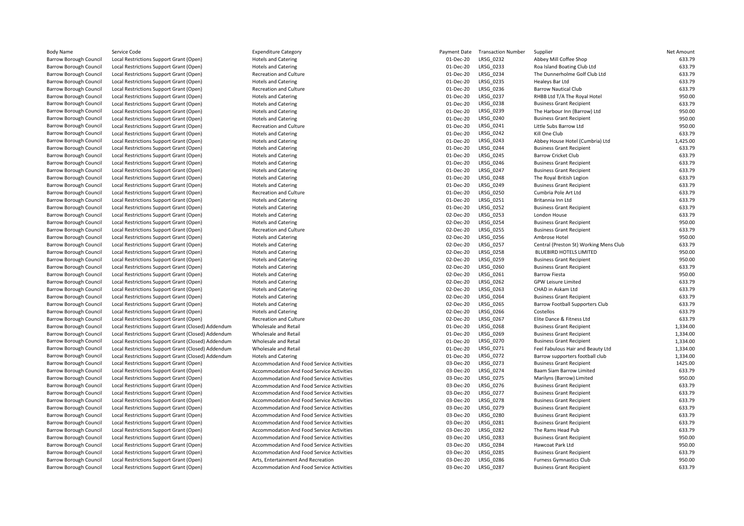| <b>Body Name</b>              | Service Code                                       | <b>Expenditure Category</b>               | Payment Date | <b>Transaction Number</b> | Supplier                               | Net Amount       |
|-------------------------------|----------------------------------------------------|-------------------------------------------|--------------|---------------------------|----------------------------------------|------------------|
| <b>Barrow Borough Council</b> | Local Restrictions Support Grant (Open)            | <b>Hotels and Catering</b>                | 01-Dec-20    | LRSG_0232                 | Abbey Mill Coffee Shop                 | 633.79           |
| <b>Barrow Borough Council</b> | Local Restrictions Support Grant (Open)            | <b>Hotels and Catering</b>                | 01-Dec-20    | LRSG 0233                 | Roa Island Boating Club Ltd            | 633.79           |
| <b>Barrow Borough Council</b> | Local Restrictions Support Grant (Open)            | Recreation and Culture                    | 01-Dec-20    | LRSG 0234                 | The Dunnerholme Golf Club Ltd          | 633.79           |
| <b>Barrow Borough Council</b> | Local Restrictions Support Grant (Open)            | <b>Hotels and Catering</b>                | 01-Dec-20    | LRSG 0235                 | Healeys Bar Ltd                        | 633.79           |
| <b>Barrow Borough Council</b> | Local Restrictions Support Grant (Open)            | Recreation and Culture                    | 01-Dec-20    | LRSG_0236                 | <b>Barrow Nautical Club</b>            | 633.79           |
| <b>Barrow Borough Council</b> | Local Restrictions Support Grant (Open)            | <b>Hotels and Catering</b>                | 01-Dec-20    | LRSG 0237                 | RHBB Ltd T/A The Royal Hotel           | 950.00           |
| <b>Barrow Borough Council</b> | Local Restrictions Support Grant (Open)            | <b>Hotels and Catering</b>                | 01-Dec-20    | LRSG 0238                 | <b>Business Grant Recipient</b>        | 633.79           |
| <b>Barrow Borough Council</b> | Local Restrictions Support Grant (Open)            | <b>Hotels and Catering</b>                | 01-Dec-20    | LRSG 0239                 | The Harbour Inn (Barrow) Ltd           | 950.00           |
| <b>Barrow Borough Council</b> | Local Restrictions Support Grant (Open)            | <b>Hotels and Catering</b>                | 01-Dec-20    | LRSG 0240                 | <b>Business Grant Recipient</b>        | 950.00           |
| <b>Barrow Borough Council</b> | Local Restrictions Support Grant (Open)            | Recreation and Culture                    | 01-Dec-20    | LRSG 0241                 | Little Subs Barrow Ltd                 | 950.00           |
| <b>Barrow Borough Council</b> | Local Restrictions Support Grant (Open)            | <b>Hotels and Catering</b>                | 01-Dec-20    | LRSG_0242                 | Kill One Club                          | 633.79           |
| <b>Barrow Borough Council</b> | Local Restrictions Support Grant (Open)            | <b>Hotels and Catering</b>                | 01-Dec-20    | LRSG 0243                 | Abbey House Hotel (Cumbria) Ltd        | 1,425.00         |
| <b>Barrow Borough Council</b> | Local Restrictions Support Grant (Open)            | <b>Hotels and Catering</b>                | 01-Dec-20    | LRSG 0244                 | <b>Business Grant Recipient</b>        | 633.79           |
| <b>Barrow Borough Council</b> | Local Restrictions Support Grant (Open)            | <b>Hotels and Catering</b>                | 01-Dec-20    | LRSG 0245                 | <b>Barrow Cricket Club</b>             | 633.79           |
| <b>Barrow Borough Council</b> | Local Restrictions Support Grant (Open)            | <b>Hotels and Catering</b>                | 01-Dec-20    | LRSG_0246                 | <b>Business Grant Recipient</b>        | 633.79           |
| <b>Barrow Borough Council</b> | Local Restrictions Support Grant (Open)            | <b>Hotels and Catering</b>                | 01-Dec-20    | <b>LRSG 0247</b>          | <b>Business Grant Recipient</b>        | 633.79           |
| <b>Barrow Borough Council</b> | Local Restrictions Support Grant (Open)            | <b>Hotels and Catering</b>                | 01-Dec-20    | LRSG 0248                 | The Royal British Legion               | 633.79           |
| <b>Barrow Borough Council</b> | Local Restrictions Support Grant (Open)            | <b>Hotels and Catering</b>                | 01-Dec-20    | LRSG 0249                 | <b>Business Grant Recipient</b>        | 633.79           |
| <b>Barrow Borough Council</b> |                                                    | Recreation and Culture                    | 01-Dec-20    | LRSG 0250                 | Cumbria Pole Art Ltd                   | 633.79           |
| <b>Barrow Borough Council</b> | Local Restrictions Support Grant (Open)            |                                           | 01-Dec-20    | LRSG 0251                 |                                        | 633.79           |
|                               | Local Restrictions Support Grant (Open)            | <b>Hotels and Catering</b>                |              |                           | Britannia Inn Ltd                      |                  |
| <b>Barrow Borough Council</b> | Local Restrictions Support Grant (Open)            | <b>Hotels and Catering</b>                | 01-Dec-20    | LRSG 0252                 | <b>Business Grant Recipient</b>        | 633.79<br>633.79 |
| <b>Barrow Borough Council</b> | Local Restrictions Support Grant (Open)            | <b>Hotels and Catering</b>                | 02-Dec-20    | LRSG 0253                 | London House                           |                  |
| <b>Barrow Borough Council</b> | Local Restrictions Support Grant (Open)            | <b>Hotels and Catering</b>                | 02-Dec-20    | LRSG_0254                 | <b>Business Grant Recipient</b>        | 950.00           |
| <b>Barrow Borough Council</b> | Local Restrictions Support Grant (Open)            | Recreation and Culture                    | 02-Dec-20    | LRSG_0255                 | <b>Business Grant Recipient</b>        | 633.79           |
| <b>Barrow Borough Council</b> | Local Restrictions Support Grant (Open)            | <b>Hotels and Catering</b>                | 02-Dec-20    | LRSG 0256                 | Ambrose Hotel                          | 950.00           |
| <b>Barrow Borough Council</b> | Local Restrictions Support Grant (Open)            | <b>Hotels and Catering</b>                | 02-Dec-20    | <b>LRSG 0257</b>          | Central (Preston St) Working Mens Club | 633.79           |
| Barrow Borough Council        | Local Restrictions Support Grant (Open)            | <b>Hotels and Catering</b>                | 02-Dec-20    | LRSG 0258                 | <b>BLUEBIRD HOTELS LIMITED</b>         | 950.00           |
| <b>Barrow Borough Council</b> | Local Restrictions Support Grant (Open)            | <b>Hotels and Catering</b>                | 02-Dec-20    | LRSG 0259                 | <b>Business Grant Recipient</b>        | 950.00           |
| <b>Barrow Borough Council</b> | Local Restrictions Support Grant (Open)            | <b>Hotels and Catering</b>                | 02-Dec-20    | LRSG 0260                 | <b>Business Grant Recipient</b>        | 633.79           |
| Barrow Borough Council        | Local Restrictions Support Grant (Open)            | <b>Hotels and Catering</b>                | 02-Dec-20    | LRSG 0261                 | <b>Barrow Fiesta</b>                   | 950.00           |
| <b>Barrow Borough Council</b> | Local Restrictions Support Grant (Open)            | <b>Hotels and Catering</b>                | 02-Dec-20    | LRSG_0262                 | <b>GPW Leisure Limited</b>             | 633.79           |
| <b>Barrow Borough Council</b> | Local Restrictions Support Grant (Open)            | <b>Hotels and Catering</b>                | 02-Dec-20    | LRSG 0263                 | CHAD in Askam Ltd                      | 633.79           |
| Barrow Borough Council        | Local Restrictions Support Grant (Open)            | <b>Hotels and Catering</b>                | 02-Dec-20    | LRSG 0264                 | <b>Business Grant Recipient</b>        | 633.79           |
| Barrow Borough Council        | Local Restrictions Support Grant (Open)            | <b>Hotels and Catering</b>                | 02-Dec-20    | LRSG 0265                 | Barrow Football Supporters Club        | 633.79           |
| <b>Barrow Borough Council</b> | Local Restrictions Support Grant (Open)            | <b>Hotels and Catering</b>                | 02-Dec-20    | LRSG_0266                 | Costellos                              | 633.79           |
| Barrow Borough Council        | Local Restrictions Support Grant (Open)            | <b>Recreation and Culture</b>             | 02-Dec-20    | LRSG 0267                 | Elite Dance & Fitness Ltd              | 633.79           |
| <b>Barrow Borough Council</b> | Local Restrictions Support Grant (Closed) Addendum | Wholesale and Retail                      | 01-Dec-20    | LRSG_0268                 | <b>Business Grant Recipient</b>        | 1,334.00         |
| <b>Barrow Borough Council</b> | Local Restrictions Support Grant (Closed) Addendum | Wholesale and Retail                      | 01-Dec-20    | LRSG 0269                 | <b>Business Grant Recipient</b>        | 1,334.00         |
| Barrow Borough Council        | Local Restrictions Support Grant (Closed) Addendum | Wholesale and Retail                      | 01-Dec-20    | LRSG 0270                 | <b>Business Grant Recipient</b>        | 1,334.00         |
| <b>Barrow Borough Council</b> | Local Restrictions Support Grant (Closed) Addendum | Wholesale and Retail                      | 01-Dec-20    | LRSG 0271                 | Feel Fabulous Hair and Beauty Ltd      | 1,334.00         |
| <b>Barrow Borough Council</b> | Local Restrictions Support Grant (Closed) Addendum | <b>Hotels and Catering</b>                | 01-Dec-20    | LRSG 0272                 | Barrow supporters football club        | 1,334.00         |
| Barrow Borough Council        | Local Restrictions Support Grant (Open)            | Accommodation And Food Service Activities | 03-Dec-20    | LRSG 0273                 | <b>Business Grant Recipient</b>        | 1425.00          |
| Barrow Borough Council        | Local Restrictions Support Grant (Open)            | Accommodation And Food Service Activities | 03-Dec-20    | LRSG 0274                 | Baam Siam Barrow Limited               | 633.79           |
| <b>Barrow Borough Council</b> | Local Restrictions Support Grant (Open)            | Accommodation And Food Service Activities | 03-Dec-20    | LRSG_0275                 | Marilyns (Barrow) Limited              | 950.00           |
| <b>Barrow Borough Council</b> | Local Restrictions Support Grant (Open)            | Accommodation And Food Service Activities | 03-Dec-20    | LRSG 0276                 | <b>Business Grant Recipient</b>        | 633.79           |
| Barrow Borough Council        | Local Restrictions Support Grant (Open)            | Accommodation And Food Service Activities | 03-Dec-20    | LRSG 0277                 | <b>Business Grant Recipient</b>        | 633.79           |
| Barrow Borough Council        | Local Restrictions Support Grant (Open)            | Accommodation And Food Service Activities | 03-Dec-20    | LRSG 0278                 | <b>Business Grant Recipient</b>        | 633.79           |
| <b>Barrow Borough Council</b> | Local Restrictions Support Grant (Open)            | Accommodation And Food Service Activities | 03-Dec-20    | LRSG 0279                 | <b>Business Grant Recipient</b>        | 633.79           |
| Barrow Borough Council        | Local Restrictions Support Grant (Open)            | Accommodation And Food Service Activities | 03-Dec-20    | LRSG_0280                 | <b>Business Grant Recipient</b>        | 633.79           |
| Barrow Borough Council        | Local Restrictions Support Grant (Open)            | Accommodation And Food Service Activities | 03-Dec-20    | LRSG_0281                 | <b>Business Grant Recipient</b>        | 633.79           |
| <b>Barrow Borough Council</b> | Local Restrictions Support Grant (Open)            | Accommodation And Food Service Activities | 03-Dec-20    | LRSG 0282                 | The Rams Head Pub                      | 633.79           |
| Barrow Borough Council        | Local Restrictions Support Grant (Open)            | Accommodation And Food Service Activities | 03-Dec-20    | LRSG 0283                 | <b>Business Grant Recipient</b>        | 950.00           |
| Barrow Borough Council        | Local Restrictions Support Grant (Open)            | Accommodation And Food Service Activities | 03-Dec-20    | LRSG 0284                 | Hawcoat Park Ltd                       | 950.00           |
| Barrow Borough Council        | Local Restrictions Support Grant (Open)            | Accommodation And Food Service Activities | 03-Dec-20    | LRSG 0285                 | <b>Business Grant Recipient</b>        | 633.79           |
| Barrow Borough Council        | Local Restrictions Support Grant (Open)            | Arts, Entertainment And Recreation        | 03-Dec-20    | LRSG 0286                 | <b>Furness Gymnastics Club</b>         | 950.00           |
| <b>Barrow Borough Council</b> | Local Restrictions Support Grant (Open)            | Accommodation And Food Service Activities | 03-Dec-20    | LRSG 0287                 | <b>Business Grant Recipient</b>        | 633.79           |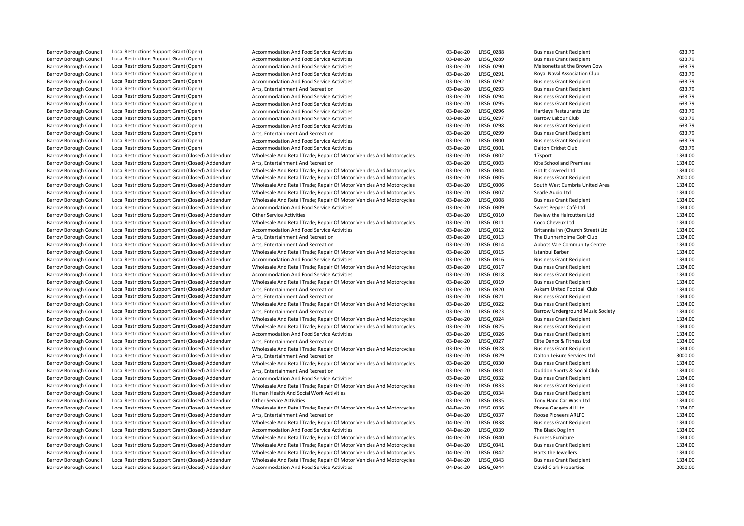| <b>Barrow Borough Council</b> | Local Restrictions Support Grant (Open)            | Accommodation And Food Service Activities                            | 03-Dec-20 | <b>LRSG 0288</b> | <b>Business Grant Recipient</b>         | 633.79  |
|-------------------------------|----------------------------------------------------|----------------------------------------------------------------------|-----------|------------------|-----------------------------------------|---------|
| <b>Barrow Borough Council</b> | Local Restrictions Support Grant (Open)            | <b>Accommodation And Food Service Activities</b>                     | 03-Dec-20 | LRSG 0289        | <b>Business Grant Recipient</b>         | 633.79  |
| <b>Barrow Borough Council</b> | Local Restrictions Support Grant (Open)            | Accommodation And Food Service Activities                            | 03-Dec-20 | LRSG 0290        | Maisonette at the Brown Cow             | 633.79  |
| <b>Barrow Borough Council</b> | Local Restrictions Support Grant (Open)            | Accommodation And Food Service Activities                            | 03-Dec-20 | LRSG_0291        | Royal Naval Association Club            | 633.79  |
| Barrow Borough Council        | Local Restrictions Support Grant (Open)            | Accommodation And Food Service Activities                            | 03-Dec-20 | LRSG 0292        | <b>Business Grant Recipient</b>         | 633.79  |
| <b>Barrow Borough Council</b> | Local Restrictions Support Grant (Open)            | Arts, Entertainment And Recreation                                   | 03-Dec-20 | LRSG 0293        | <b>Business Grant Recipient</b>         | 633.79  |
| Barrow Borough Council        | Local Restrictions Support Grant (Open)            | Accommodation And Food Service Activities                            | 03-Dec-20 | LRSG 0294        | <b>Business Grant Recipient</b>         | 633.79  |
| <b>Barrow Borough Council</b> | Local Restrictions Support Grant (Open)            | Accommodation And Food Service Activities                            | 03-Dec-20 | LRSG 0295        | <b>Business Grant Recipient</b>         | 633.79  |
| <b>Barrow Borough Council</b> | Local Restrictions Support Grant (Open)            | Accommodation And Food Service Activities                            | 03-Dec-20 | LRSG 0296        | Hartleys Restaurants Ltd                | 633.79  |
| <b>Barrow Borough Council</b> | Local Restrictions Support Grant (Open)            | Accommodation And Food Service Activities                            | 03-Dec-20 | LRSG 0297        | Barrow Labour Club                      | 633.79  |
| <b>Barrow Borough Council</b> | Local Restrictions Support Grant (Open)            | Accommodation And Food Service Activities                            | 03-Dec-20 | LRSG 0298        | <b>Business Grant Recipient</b>         | 633.79  |
| <b>Barrow Borough Council</b> | Local Restrictions Support Grant (Open)            | Arts, Entertainment And Recreation                                   | 03-Dec-20 | LRSG 0299        | <b>Business Grant Recipient</b>         | 633.79  |
| <b>Barrow Borough Council</b> | Local Restrictions Support Grant (Open)            | Accommodation And Food Service Activities                            | 03-Dec-20 | LRSG 0300        | <b>Business Grant Recipient</b>         | 633.79  |
| <b>Barrow Borough Council</b> | Local Restrictions Support Grant (Open)            | Accommodation And Food Service Activities                            | 03-Dec-20 | LRSG 0301        | Dalton Cricket Club                     | 633.79  |
| <b>Barrow Borough Council</b> | Local Restrictions Support Grant (Closed) Addendum | Wholesale And Retail Trade; Repair Of Motor Vehicles And Motorcycles | 03-Dec-20 | LRSG 0302        | 17sport                                 | 1334.00 |
| <b>Barrow Borough Council</b> | Local Restrictions Support Grant (Closed) Addendum | Arts, Entertainment And Recreation                                   | 03-Dec-20 | LRSG 0303        | Kite School and Premises                | 1334.00 |
| <b>Barrow Borough Council</b> | Local Restrictions Support Grant (Closed) Addendum | Wholesale And Retail Trade; Repair Of Motor Vehicles And Motorcycles | 03-Dec-20 | LRSG_0304        | Got It Covered Ltd                      | 1334.00 |
| <b>Barrow Borough Council</b> | Local Restrictions Support Grant (Closed) Addendum | Wholesale And Retail Trade; Repair Of Motor Vehicles And Motorcycles | 03-Dec-20 | LRSG 0305        | <b>Business Grant Recipient</b>         | 2000.00 |
| <b>Barrow Borough Council</b> | Local Restrictions Support Grant (Closed) Addendum | Wholesale And Retail Trade; Repair Of Motor Vehicles And Motorcycles | 03-Dec-20 | LRSG 0306        | South West Cumbria United Area          | 1334.00 |
| <b>Barrow Borough Council</b> | Local Restrictions Support Grant (Closed) Addendum | Wholesale And Retail Trade; Repair Of Motor Vehicles And Motorcycles | 03-Dec-20 | LRSG 0307        | Searle Audio Ltd                        | 1334.00 |
| <b>Barrow Borough Council</b> | Local Restrictions Support Grant (Closed) Addendum | Wholesale And Retail Trade; Repair Of Motor Vehicles And Motorcycles | 03-Dec-20 | LRSG 0308        | <b>Business Grant Recipient</b>         | 1334.00 |
| Barrow Borough Council        | Local Restrictions Support Grant (Closed) Addendum | Accommodation And Food Service Activities                            | 03-Dec-20 | LRSG 0309        | Sweet Pepper Café Ltd                   | 1334.00 |
| <b>Barrow Borough Council</b> | Local Restrictions Support Grant (Closed) Addendum | <b>Other Service Activities</b>                                      | 03-Dec-20 | LRSG 0310        | Review the Haircutters Ltd              | 1334.00 |
| <b>Barrow Borough Council</b> | Local Restrictions Support Grant (Closed) Addendum | Wholesale And Retail Trade; Repair Of Motor Vehicles And Motorcycles | 03-Dec-20 | LRSG 0311        | Coco Cheveux Ltd                        | 1334.00 |
| <b>Barrow Borough Council</b> | Local Restrictions Support Grant (Closed) Addendum | Accommodation And Food Service Activities                            | 03-Dec-20 | LRSG 0312        | Britannia Inn (Church Street) Ltd       | 1334.00 |
| <b>Barrow Borough Council</b> | Local Restrictions Support Grant (Closed) Addendum | Arts. Entertainment And Recreation                                   | 03-Dec-20 | LRSG_0313        | The Dunnerholme Golf Club               | 1334.00 |
| <b>Barrow Borough Council</b> | Local Restrictions Support Grant (Closed) Addendum | Arts, Entertainment And Recreation                                   | 03-Dec-20 | LRSG 0314        | Abbots Vale Community Centre            | 1334.00 |
| <b>Barrow Borough Council</b> | Local Restrictions Support Grant (Closed) Addendum | Wholesale And Retail Trade; Repair Of Motor Vehicles And Motorcycles | 03-Dec-20 | LRSG 0315        | <b>Istanbul Barber</b>                  | 1334.00 |
| <b>Barrow Borough Council</b> | Local Restrictions Support Grant (Closed) Addendum | Accommodation And Food Service Activities                            | 03-Dec-20 | LRSG 0316        | <b>Business Grant Recipient</b>         | 1334.00 |
| Barrow Borough Council        | Local Restrictions Support Grant (Closed) Addendum | Wholesale And Retail Trade; Repair Of Motor Vehicles And Motorcycles | 03-Dec-20 | LRSG 0317        | <b>Business Grant Recipient</b>         | 1334.00 |
| Barrow Borough Council        | Local Restrictions Support Grant (Closed) Addendum | Accommodation And Food Service Activities                            | 03-Dec-20 | LRSG 0318        | <b>Business Grant Recipient</b>         | 1334.00 |
| Barrow Borough Council        | Local Restrictions Support Grant (Closed) Addendum | Wholesale And Retail Trade; Repair Of Motor Vehicles And Motorcycles | 03-Dec-20 | LRSG 0319        | <b>Business Grant Recipient</b>         | 1334.00 |
| Barrow Borough Council        | Local Restrictions Support Grant (Closed) Addendum | Arts, Entertainment And Recreation                                   | 03-Dec-20 | LRSG 0320        | Askam United Football Club              | 1334.00 |
| <b>Barrow Borough Council</b> | Local Restrictions Support Grant (Closed) Addendum | Arts, Entertainment And Recreation                                   | 03-Dec-20 | LRSG 0321        | <b>Business Grant Recipient</b>         | 1334.00 |
| <b>Barrow Borough Council</b> | Local Restrictions Support Grant (Closed) Addendum | Wholesale And Retail Trade; Repair Of Motor Vehicles And Motorcycles | 03-Dec-20 | LRSG 0322        | <b>Business Grant Recipient</b>         | 1334.00 |
| Barrow Borough Council        | Local Restrictions Support Grant (Closed) Addendum | Arts, Entertainment And Recreation                                   | 03-Dec-20 | LRSG 0323        | <b>Barrow Underground Music Society</b> | 1334.00 |
| <b>Barrow Borough Council</b> | Local Restrictions Support Grant (Closed) Addendum | Wholesale And Retail Trade; Repair Of Motor Vehicles And Motorcycles | 03-Dec-20 | LRSG 0324        | <b>Business Grant Recipient</b>         | 1334.00 |
| Barrow Borough Council        | Local Restrictions Support Grant (Closed) Addendum | Wholesale And Retail Trade; Repair Of Motor Vehicles And Motorcycles | 03-Dec-20 | LRSG 0325        | <b>Business Grant Recipient</b>         | 1334.00 |
| Barrow Borough Council        | Local Restrictions Support Grant (Closed) Addendum | Accommodation And Food Service Activities                            | 03-Dec-20 | LRSG 0326        | <b>Business Grant Recipient</b>         | 1334.00 |
| Barrow Borough Council        | Local Restrictions Support Grant (Closed) Addendum | Arts, Entertainment And Recreation                                   | 03-Dec-20 | LRSG 0327        | Elite Dance & Fitness Ltd               | 1334.00 |
| Barrow Borough Council        | Local Restrictions Support Grant (Closed) Addendum | Wholesale And Retail Trade; Repair Of Motor Vehicles And Motorcycles | 03-Dec-20 | LRSG_0328        | <b>Business Grant Recipient</b>         | 1334.00 |
| Barrow Borough Council        | Local Restrictions Support Grant (Closed) Addendum | Arts, Entertainment And Recreation                                   | 03-Dec-20 | LRSG 0329        | Dalton Leisure Services Ltd             | 3000.00 |
| Barrow Borough Council        | Local Restrictions Support Grant (Closed) Addendum | Wholesale And Retail Trade; Repair Of Motor Vehicles And Motorcycles | 03-Dec-20 | LRSG 0330        | <b>Business Grant Recipient</b>         | 1334.00 |
| <b>Barrow Borough Council</b> | Local Restrictions Support Grant (Closed) Addendum | Arts. Entertainment And Recreation                                   | 03-Dec-20 | LRSG 0331        | Duddon Sports & Social Club             | 1334.00 |
| Barrow Borough Council        | Local Restrictions Support Grant (Closed) Addendum | Accommodation And Food Service Activities                            | 03-Dec-20 | LRSG 0332        | <b>Business Grant Recipient</b>         | 1334.00 |
| <b>Barrow Borough Council</b> | Local Restrictions Support Grant (Closed) Addendum | Wholesale And Retail Trade; Repair Of Motor Vehicles And Motorcycles | 03-Dec-20 | LRSG 0333        | <b>Business Grant Recipient</b>         | 1334.00 |
| Barrow Borough Council        | Local Restrictions Support Grant (Closed) Addendum | Human Health And Social Work Activities                              | 03-Dec-20 | LRSG 0334        | <b>Business Grant Recipient</b>         | 1334.00 |
| Barrow Borough Council        | Local Restrictions Support Grant (Closed) Addendum | <b>Other Service Activities</b>                                      | 03-Dec-20 | LRSG 0335        | Tony Hand Car Wash Ltd                  | 1334.00 |
| <b>Barrow Borough Council</b> | Local Restrictions Support Grant (Closed) Addendum | Wholesale And Retail Trade; Repair Of Motor Vehicles And Motorcycles | 04-Dec-20 | LRSG 0336        | Phone Gadgets 4U Ltd                    | 1334.00 |
| Barrow Borough Council        | Local Restrictions Support Grant (Closed) Addendum | Arts, Entertainment And Recreation                                   | 04-Dec-20 | LRSG_0337        | Roose Pioneers ARLFC                    | 1334.00 |
| Barrow Borough Council        | Local Restrictions Support Grant (Closed) Addendum | Wholesale And Retail Trade; Repair Of Motor Vehicles And Motorcycles | 04-Dec-20 | LRSG 0338        | <b>Business Grant Recipient</b>         | 1334.00 |
| Barrow Borough Council        | Local Restrictions Support Grant (Closed) Addendum | Accommodation And Food Service Activities                            | 04-Dec-20 | LRSG 0339        | The Black Dog Inn                       | 1334.00 |
| <b>Barrow Borough Council</b> | Local Restrictions Support Grant (Closed) Addendum | Wholesale And Retail Trade; Repair Of Motor Vehicles And Motorcycles | 04-Dec-20 | LRSG 0340        | <b>Furness Furniture</b>                | 1334.00 |
| Barrow Borough Council        | Local Restrictions Support Grant (Closed) Addendum | Wholesale And Retail Trade; Repair Of Motor Vehicles And Motorcycles | 04-Dec-20 | LRSG 0341        | <b>Business Grant Recipient</b>         | 1334.00 |
| <b>Barrow Borough Council</b> | Local Restrictions Support Grant (Closed) Addendum | Wholesale And Retail Trade; Repair Of Motor Vehicles And Motorcycles | 04-Dec-20 | LRSG 0342        | Harts the Jewellers                     | 1334.00 |
| Barrow Borough Council        | Local Restrictions Support Grant (Closed) Addendum | Wholesale And Retail Trade; Repair Of Motor Vehicles And Motorcycles | 04-Dec-20 | LRSG 0343        | <b>Business Grant Recipient</b>         | 1334.00 |
| <b>Barrow Borough Council</b> | Local Restrictions Support Grant (Closed) Addendum | <b>Accommodation And Food Service Activities</b>                     | 04-Dec-20 | LRSG_0344        | <b>David Clark Properties</b>           | 2000.00 |
|                               |                                                    |                                                                      |           |                  |                                         |         |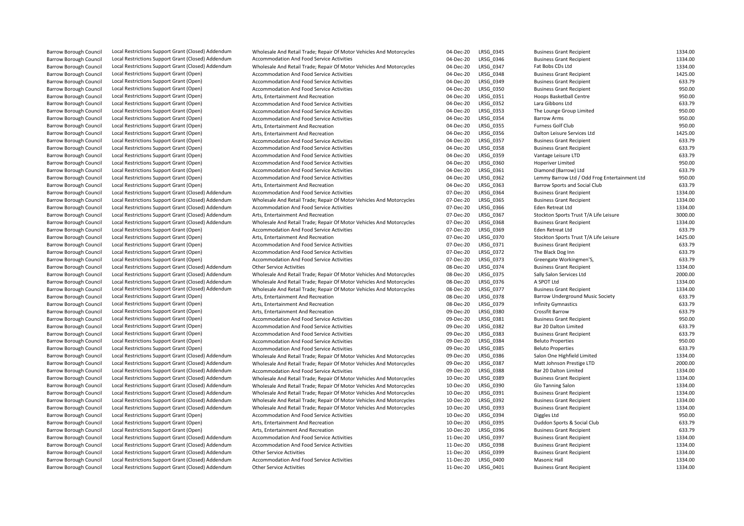| <b>Barrow Borough Council</b> | Local Restrictions Support Grant (Closed) Addendum | Wholesale And Retail Trade; Repair Of Motor Vehicles And Motorcycles | 04-Dec-20 | LRSG_0345 | <b>Business Grant Recipient</b>               | 1334.00 |
|-------------------------------|----------------------------------------------------|----------------------------------------------------------------------|-----------|-----------|-----------------------------------------------|---------|
| Barrow Borough Council        | Local Restrictions Support Grant (Closed) Addendum | Accommodation And Food Service Activities                            | 04-Dec-20 | LRSG 0346 | <b>Business Grant Recipient</b>               | 1334.00 |
| Barrow Borough Council        | Local Restrictions Support Grant (Closed) Addendum | Wholesale And Retail Trade; Repair Of Motor Vehicles And Motorcycles | 04-Dec-20 | LRSG 0347 | Fat Bobs CDs Ltd                              | 1334.00 |
| Barrow Borough Council        | Local Restrictions Support Grant (Open)            | <b>Accommodation And Food Service Activities</b>                     | 04-Dec-20 | LRSG 0348 | <b>Business Grant Recipient</b>               | 1425.00 |
| <b>Barrow Borough Council</b> | Local Restrictions Support Grant (Open)            | <b>Accommodation And Food Service Activities</b>                     | 04-Dec-20 | LRSG 0349 | <b>Business Grant Recipient</b>               | 633.79  |
| Barrow Borough Council        | Local Restrictions Support Grant (Open)            | Accommodation And Food Service Activities                            | 04-Dec-20 | LRSG 0350 | <b>Business Grant Recipient</b>               | 950.00  |
| Barrow Borough Council        | Local Restrictions Support Grant (Open)            | Arts, Entertainment And Recreation                                   | 04-Dec-20 | LRSG 0351 | Hoops Basketball Centre                       | 950.00  |
| <b>Barrow Borough Council</b> | Local Restrictions Support Grant (Open)            | Accommodation And Food Service Activities                            | 04-Dec-20 | LRSG 0352 | Lara Gibbons Ltd                              | 633.79  |
| <b>Barrow Borough Council</b> | Local Restrictions Support Grant (Open)            | <b>Accommodation And Food Service Activities</b>                     | 04-Dec-20 | LRSG 0353 | The Lounge Group Limited                      | 950.00  |
| <b>Barrow Borough Council</b> | Local Restrictions Support Grant (Open)            | Accommodation And Food Service Activities                            | 04-Dec-20 | LRSG 0354 | <b>Barrow Arms</b>                            | 950.00  |
| <b>Barrow Borough Council</b> | Local Restrictions Support Grant (Open)            | Arts, Entertainment And Recreation                                   | 04-Dec-20 | LRSG 0355 | Furness Golf Club                             | 950.00  |
| <b>Barrow Borough Council</b> | Local Restrictions Support Grant (Open)            | Arts, Entertainment And Recreation                                   | 04-Dec-20 | LRSG 0356 | Dalton Leisure Services Ltd                   | 1425.00 |
| <b>Barrow Borough Council</b> | Local Restrictions Support Grant (Open)            | Accommodation And Food Service Activities                            | 04-Dec-20 | LRSG 0357 | <b>Business Grant Recipient</b>               | 633.79  |
| Barrow Borough Council        | Local Restrictions Support Grant (Open)            | Accommodation And Food Service Activities                            | 04-Dec-20 | LRSG 0358 | <b>Business Grant Recipient</b>               | 633.79  |
| <b>Barrow Borough Council</b> | Local Restrictions Support Grant (Open)            | Accommodation And Food Service Activities                            | 04-Dec-20 | LRSG 0359 | Vantage Leisure LTD                           | 633.79  |
| <b>Barrow Borough Council</b> | Local Restrictions Support Grant (Open)            | Accommodation And Food Service Activities                            | 04-Dec-20 | LRSG 0360 | Hoperiver Limited                             | 950.00  |
| <b>Barrow Borough Council</b> | Local Restrictions Support Grant (Open)            | Accommodation And Food Service Activities                            | 04-Dec-20 | LRSG_0361 | Diamond (Barrow) Ltd                          | 633.79  |
| <b>Barrow Borough Council</b> | Local Restrictions Support Grant (Open)            | Accommodation And Food Service Activities                            | 04-Dec-20 | LRSG 0362 | Lemmy Barrow Ltd / Odd Frog Entertainment Ltd | 950.00  |
| Barrow Borough Council        | Local Restrictions Support Grant (Open)            | Arts, Entertainment And Recreation                                   | 04-Dec-20 | LRSG 0363 | Barrow Sports and Social Club                 | 633.79  |
| <b>Barrow Borough Council</b> | Local Restrictions Support Grant (Closed) Addendum | Accommodation And Food Service Activities                            | 07-Dec-20 | LRSG 0364 | <b>Business Grant Recipient</b>               | 1334.00 |
| <b>Barrow Borough Council</b> | Local Restrictions Support Grant (Closed) Addendum | Wholesale And Retail Trade; Repair Of Motor Vehicles And Motorcycles | 07-Dec-20 | LRSG_0365 | <b>Business Grant Recipient</b>               | 1334.00 |
| <b>Barrow Borough Council</b> | Local Restrictions Support Grant (Closed) Addendum | Accommodation And Food Service Activities                            | 07-Dec-20 | LRSG 0366 | Eden Retreat Ltd                              | 1334.00 |
| <b>Barrow Borough Council</b> | Local Restrictions Support Grant (Closed) Addendum | Arts, Entertainment And Recreation                                   | 07-Dec-20 | LRSG_0367 | Stockton Sports Trust T/A Life Leisure        | 3000.00 |
| <b>Barrow Borough Council</b> | Local Restrictions Support Grant (Closed) Addendum | Wholesale And Retail Trade; Repair Of Motor Vehicles And Motorcycles | 07-Dec-20 | LRSG 0368 | <b>Business Grant Recipient</b>               | 1334.00 |
| <b>Barrow Borough Council</b> | Local Restrictions Support Grant (Open)            | <b>Accommodation And Food Service Activities</b>                     | 07-Dec-20 | LRSG 0369 | Eden Retreat Ltd                              | 633.79  |
|                               |                                                    |                                                                      | 07-Dec-20 |           |                                               | 1425.00 |
| <b>Barrow Borough Council</b> | Local Restrictions Support Grant (Open)            | Arts, Entertainment And Recreation                                   |           | LRSG_0370 | Stockton Sports Trust T/A Life Leisure        |         |
| <b>Barrow Borough Council</b> | Local Restrictions Support Grant (Open)            | Accommodation And Food Service Activities                            | 07-Dec-20 | LRSG 0371 | <b>Business Grant Recipient</b>               | 633.79  |
| <b>Barrow Borough Council</b> | Local Restrictions Support Grant (Open)            | Accommodation And Food Service Activities                            | 07-Dec-20 | LRSG 0372 | The Black Dog Inn                             | 633.79  |
| <b>Barrow Borough Council</b> | Local Restrictions Support Grant (Open)            | <b>Accommodation And Food Service Activities</b>                     | 07-Dec-20 | LRSG 0373 | Greengate Workingmen'S,                       | 633.79  |
| <b>Barrow Borough Council</b> | Local Restrictions Support Grant (Closed) Addendum | <b>Other Service Activities</b>                                      | 08-Dec-20 | LRSG_0374 | <b>Business Grant Recipient</b>               | 1334.00 |
| <b>Barrow Borough Council</b> | Local Restrictions Support Grant (Closed) Addendum | Wholesale And Retail Trade; Repair Of Motor Vehicles And Motorcycles | 08-Dec-20 | LRSG 0375 | Sally Salon Services Ltd                      | 2000.00 |
| <b>Barrow Borough Council</b> | Local Restrictions Support Grant (Closed) Addendum | Wholesale And Retail Trade; Repair Of Motor Vehicles And Motorcycles | 08-Dec-20 | LRSG 0376 | A SPOT Ltd                                    | 1334.00 |
| <b>Barrow Borough Council</b> | Local Restrictions Support Grant (Closed) Addendum | Wholesale And Retail Trade; Repair Of Motor Vehicles And Motorcycles | 08-Dec-20 | LRSG 0377 | <b>Business Grant Recipient</b>               | 1334.00 |
| <b>Barrow Borough Council</b> | Local Restrictions Support Grant (Open)            | Arts, Entertainment And Recreation                                   | 08-Dec-20 | LRSG_0378 | Barrow Underground Music Society              | 633.79  |
| <b>Barrow Borough Council</b> | Local Restrictions Support Grant (Open)            | Arts, Entertainment And Recreation                                   | 08-Dec-20 | LRSG 0379 | <b>Infinity Gymnastics</b>                    | 633.79  |
| <b>Barrow Borough Council</b> | Local Restrictions Support Grant (Open)            | Arts, Entertainment And Recreation                                   | 09-Dec-20 | LRSG 0380 | Crossfit Barrow                               | 633.79  |
| <b>Barrow Borough Council</b> | Local Restrictions Support Grant (Open)            | Accommodation And Food Service Activities                            | 09-Dec-20 | LRSG 0381 | <b>Business Grant Recipient</b>               | 950.00  |
| <b>Barrow Borough Council</b> | Local Restrictions Support Grant (Open)            | <b>Accommodation And Food Service Activities</b>                     | 09-Dec-20 | LRSG 0382 | Bar 20 Dalton Limited                         | 633.79  |
| <b>Barrow Borough Council</b> | Local Restrictions Support Grant (Open)            | Accommodation And Food Service Activities                            | 09-Dec-20 | LRSG 0383 | <b>Business Grant Recipient</b>               | 633.79  |
| <b>Barrow Borough Council</b> | Local Restrictions Support Grant (Open)            | Accommodation And Food Service Activities                            | 09-Dec-20 | LRSG 0384 | <b>Beluto Properties</b>                      | 950.00  |
| <b>Barrow Borough Council</b> | Local Restrictions Support Grant (Open)            | Accommodation And Food Service Activities                            | 09-Dec-20 | LRSG 0385 | <b>Beluto Properties</b>                      | 633.79  |
| <b>Barrow Borough Council</b> | Local Restrictions Support Grant (Closed) Addendum | Wholesale And Retail Trade; Repair Of Motor Vehicles And Motorcycles | 09-Dec-20 | LRSG 0386 | Salon One Highfield Limited                   | 1334.00 |
| Barrow Borough Council        | Local Restrictions Support Grant (Closed) Addendum | Wholesale And Retail Trade; Repair Of Motor Vehicles And Motorcycles | 09-Dec-20 | LRSG_0387 | Matt Johnson Prestige LTD                     | 2000.00 |
| <b>Barrow Borough Council</b> | Local Restrictions Support Grant (Closed) Addendum | Accommodation And Food Service Activities                            | 09-Dec-20 | LRSG 0388 | Bar 20 Dalton Limited                         | 1334.00 |
| <b>Barrow Borough Council</b> | Local Restrictions Support Grant (Closed) Addendum | Wholesale And Retail Trade; Repair Of Motor Vehicles And Motorcycles | 10-Dec-20 | LRSG 0389 | <b>Business Grant Recipient</b>               | 1334.00 |
| <b>Barrow Borough Council</b> | Local Restrictions Support Grant (Closed) Addendum | Wholesale And Retail Trade; Repair Of Motor Vehicles And Motorcycles | 10-Dec-20 | LRSG 0390 | Glo Tanning Salon                             | 1334.00 |
| Barrow Borough Council        | Local Restrictions Support Grant (Closed) Addendum | Wholesale And Retail Trade; Repair Of Motor Vehicles And Motorcycles | 10-Dec-20 | LRSG 0391 | <b>Business Grant Recipient</b>               | 1334.00 |
| <b>Barrow Borough Council</b> | Local Restrictions Support Grant (Closed) Addendum | Wholesale And Retail Trade; Repair Of Motor Vehicles And Motorcycles | 10-Dec-20 | LRSG 0392 | <b>Business Grant Recipient</b>               | 1334.00 |
| <b>Barrow Borough Council</b> | Local Restrictions Support Grant (Closed) Addendum | Wholesale And Retail Trade; Repair Of Motor Vehicles And Motorcycles | 10-Dec-20 | LRSG 0393 | <b>Business Grant Recipient</b>               | 1334.00 |
| <b>Barrow Borough Council</b> | Local Restrictions Support Grant (Open)            | Accommodation And Food Service Activities                            | 10-Dec-20 | LRSG 0394 | Diggles Ltd                                   | 950.00  |
| <b>Barrow Borough Council</b> | Local Restrictions Support Grant (Open)            | Arts, Entertainment And Recreation                                   | 10-Dec-20 | LRSG 0395 | Duddon Sports & Social Club                   | 633.79  |
| <b>Barrow Borough Council</b> | Local Restrictions Support Grant (Open)            | Arts, Entertainment And Recreation                                   | 10-Dec-20 | LRSG 0396 | <b>Business Grant Recipient</b>               | 633.79  |
| <b>Barrow Borough Council</b> | Local Restrictions Support Grant (Closed) Addendum | Accommodation And Food Service Activities                            | 11-Dec-20 | LRSG 0397 | <b>Business Grant Recipient</b>               | 1334.00 |
| <b>Barrow Borough Council</b> | Local Restrictions Support Grant (Closed) Addendum | <b>Accommodation And Food Service Activities</b>                     | 11-Dec-20 | LRSG 0398 | <b>Business Grant Recipient</b>               | 1334.00 |
| <b>Barrow Borough Council</b> | Local Restrictions Support Grant (Closed) Addendum | <b>Other Service Activities</b>                                      | 11-Dec-20 | LRSG 0399 | <b>Business Grant Recipient</b>               | 1334.00 |
| <b>Barrow Borough Council</b> | Local Restrictions Support Grant (Closed) Addendum | Accommodation And Food Service Activities                            | 11-Dec-20 | LRSG 0400 | Masonic Hall                                  | 1334.00 |
| <b>Barrow Borough Council</b> | Local Restrictions Support Grant (Closed) Addendum | <b>Other Service Activities</b>                                      | 11-Dec-20 | LRSG 0401 | <b>Business Grant Recipient</b>               | 1334.00 |
|                               |                                                    |                                                                      |           |           |                                               |         |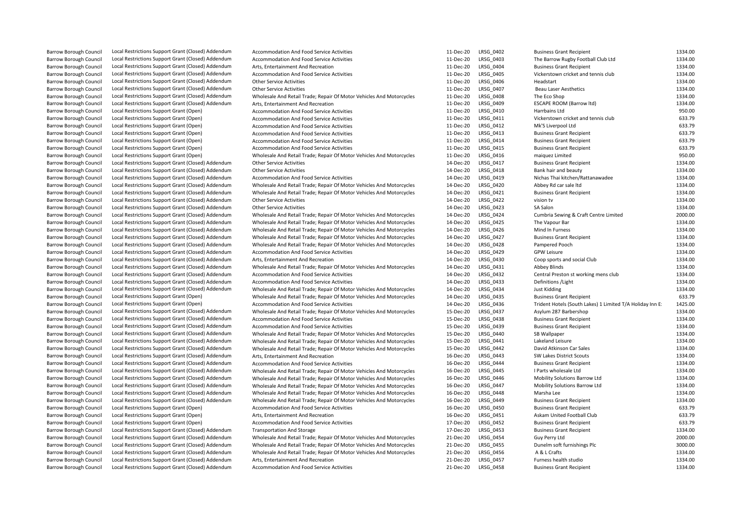| <b>Barrow Borough Council</b> | Local Restrictions Support Grant (Closed) Addendum | Accommodation And Food Service Activities                            | 11-Dec-20 | LRSG_0402        | <b>Business Grant Recipient</b>                           | 1334.00 |
|-------------------------------|----------------------------------------------------|----------------------------------------------------------------------|-----------|------------------|-----------------------------------------------------------|---------|
| <b>Barrow Borough Council</b> | Local Restrictions Support Grant (Closed) Addendum | Accommodation And Food Service Activities                            | 11-Dec-20 | LRSG 0403        | The Barrow Rugby Football Club Ltd                        | 1334.00 |
| <b>Barrow Borough Council</b> | Local Restrictions Support Grant (Closed) Addendum | Arts. Entertainment And Recreation                                   | 11-Dec-20 | LRSG 0404        | <b>Business Grant Recipient</b>                           | 1334.00 |
| <b>Barrow Borough Council</b> | Local Restrictions Support Grant (Closed) Addendum | Accommodation And Food Service Activities                            | 11-Dec-20 | LRSG_0405        | Vickerstown cricket and tennis club                       | 1334.00 |
| <b>Barrow Borough Council</b> | Local Restrictions Support Grant (Closed) Addendum | <b>Other Service Activities</b>                                      | 11-Dec-20 | LRSG 0406        | Headstart                                                 | 1334.00 |
| <b>Barrow Borough Council</b> | Local Restrictions Support Grant (Closed) Addendum | <b>Other Service Activities</b>                                      | 11-Dec-20 | LRSG 0407        | <b>Beau Laser Aesthetics</b>                              | 1334.00 |
| <b>Barrow Borough Council</b> | Local Restrictions Support Grant (Closed) Addendum | Wholesale And Retail Trade; Repair Of Motor Vehicles And Motorcycles | 11-Dec-20 | LRSG_0408        | The Eco Shop                                              | 1334.00 |
| <b>Barrow Borough Council</b> | Local Restrictions Support Grant (Closed) Addendum | Arts, Entertainment And Recreation                                   | 11-Dec-20 | LRSG 0409        | <b>ESCAPE ROOM (Barrow Itd)</b>                           | 1334.00 |
| <b>Barrow Borough Council</b> | Local Restrictions Support Grant (Open)            | Accommodation And Food Service Activities                            | 11-Dec-20 | LRSG 0410        | Harrbains Ltd                                             | 950.00  |
| <b>Barrow Borough Council</b> | Local Restrictions Support Grant (Open)            | Accommodation And Food Service Activities                            | 11-Dec-20 | LRSG 0411        | Vickerstown cricket and tennis club                       | 633.79  |
| <b>Barrow Borough Council</b> | Local Restrictions Support Grant (Open)            | Accommodation And Food Service Activities                            | 11-Dec-20 | LRSG 0412        | Mk'S Liverpool Ltd                                        | 633.79  |
| <b>Barrow Borough Council</b> | Local Restrictions Support Grant (Open)            | Accommodation And Food Service Activities                            | 11-Dec-20 | LRSG 0413        | <b>Business Grant Recipient</b>                           | 633.79  |
| <b>Barrow Borough Council</b> | Local Restrictions Support Grant (Open)            | Accommodation And Food Service Activities                            | 11-Dec-20 | LRSG 0414        | <b>Business Grant Recipient</b>                           | 633.79  |
| <b>Barrow Borough Council</b> | Local Restrictions Support Grant (Open)            | Accommodation And Food Service Activities                            | 11-Dec-20 | LRSG 0415        | <b>Business Grant Recipient</b>                           | 633.79  |
| <b>Barrow Borough Council</b> | Local Restrictions Support Grant (Open)            | Wholesale And Retail Trade; Repair Of Motor Vehicles And Motorcycles | 11-Dec-20 | LRSG 0416        | maiquez Limited                                           | 950.00  |
| <b>Barrow Borough Council</b> | Local Restrictions Support Grant (Closed) Addendum | <b>Other Service Activities</b>                                      | 14-Dec-20 | LRSG_0417        | <b>Business Grant Recipient</b>                           | 1334.00 |
| <b>Barrow Borough Council</b> | Local Restrictions Support Grant (Closed) Addendum | <b>Other Service Activities</b>                                      | 14-Dec-20 | LRSG 0418        | Bank hair and beauty                                      | 1334.00 |
| <b>Barrow Borough Council</b> | Local Restrictions Support Grant (Closed) Addendum | Accommodation And Food Service Activities                            | 14-Dec-20 | LRSG 0419        | Nichas Thai kitchen/Rattanawadee                          | 1334.00 |
| <b>Barrow Borough Council</b> | Local Restrictions Support Grant (Closed) Addendum | Wholesale And Retail Trade; Repair Of Motor Vehicles And Motorcycles | 14-Dec-20 | LRSG_0420        | Abbey Rd car sale ltd                                     | 1334.00 |
|                               | Local Restrictions Support Grant (Closed) Addendum | Wholesale And Retail Trade; Repair Of Motor Vehicles And Motorcycles | 14-Dec-20 | LRSG 0421        |                                                           | 1334.00 |
| <b>Barrow Borough Council</b> |                                                    |                                                                      |           | LRSG 0422        | <b>Business Grant Recipient</b>                           | 1334.00 |
| <b>Barrow Borough Council</b> | Local Restrictions Support Grant (Closed) Addendum | <b>Other Service Activities</b>                                      | 14-Dec-20 |                  | vision tv                                                 | 1334.00 |
| <b>Barrow Borough Council</b> | Local Restrictions Support Grant (Closed) Addendum | <b>Other Service Activities</b>                                      | 14-Dec-20 | LRSG 0423        | SA Salon                                                  | 2000.00 |
| <b>Barrow Borough Council</b> | Local Restrictions Support Grant (Closed) Addendum | Wholesale And Retail Trade; Repair Of Motor Vehicles And Motorcycles | 14-Dec-20 | LRSG 0424        | Cumbria Sewing & Craft Centre Limited                     |         |
| <b>Barrow Borough Council</b> | Local Restrictions Support Grant (Closed) Addendum | Wholesale And Retail Trade; Repair Of Motor Vehicles And Motorcycles | 14-Dec-20 | LRSG 0425        | The Vapour Bar                                            | 1334.00 |
| <b>Barrow Borough Council</b> | Local Restrictions Support Grant (Closed) Addendum | Wholesale And Retail Trade; Repair Of Motor Vehicles And Motorcycles | 14-Dec-20 | LRSG 0426        | Mind In Furness                                           | 1334.00 |
| <b>Barrow Borough Council</b> | Local Restrictions Support Grant (Closed) Addendum | Wholesale And Retail Trade; Repair Of Motor Vehicles And Motorcycles | 14-Dec-20 | LRSG 0427        | <b>Business Grant Recipient</b>                           | 1334.00 |
| <b>Barrow Borough Council</b> | Local Restrictions Support Grant (Closed) Addendum | Wholesale And Retail Trade; Repair Of Motor Vehicles And Motorcycles | 14-Dec-20 | LRSG 0428        | Pampered Pooch                                            | 1334.00 |
| <b>Barrow Borough Council</b> | Local Restrictions Support Grant (Closed) Addendum | Accommodation And Food Service Activities                            | 14-Dec-20 | LRSG 0429        | <b>GPW Leisure</b>                                        | 1334.00 |
| <b>Barrow Borough Council</b> | Local Restrictions Support Grant (Closed) Addendum | Arts, Entertainment And Recreation                                   | 14-Dec-20 | LRSG 0430        | Coop sports and social Club                               | 1334.00 |
| <b>Barrow Borough Council</b> | Local Restrictions Support Grant (Closed) Addendum | Wholesale And Retail Trade; Repair Of Motor Vehicles And Motorcycles | 14-Dec-20 | LRSG_0431        | Abbey Blinds                                              | 1334.00 |
| <b>Barrow Borough Council</b> | Local Restrictions Support Grant (Closed) Addendum | Accommodation And Food Service Activities                            | 14-Dec-20 | LRSG 0432        | Central Preston st working mens club                      | 1334.00 |
| <b>Barrow Borough Council</b> | Local Restrictions Support Grant (Closed) Addendum | <b>Accommodation And Food Service Activities</b>                     | 14-Dec-20 | LRSG 0433        | Definitions / Light                                       | 1334.00 |
| <b>Barrow Borough Council</b> | Local Restrictions Support Grant (Closed) Addendum | Wholesale And Retail Trade; Repair Of Motor Vehicles And Motorcycles | 14-Dec-20 | LRSG 0434        | Just Kidding                                              | 1334.00 |
| <b>Barrow Borough Council</b> | Local Restrictions Support Grant (Open)            | Wholesale And Retail Trade; Repair Of Motor Vehicles And Motorcycles | 14-Dec-20 | LRSG 0435        | <b>Business Grant Recipient</b>                           | 633.79  |
| <b>Barrow Borough Council</b> | Local Restrictions Support Grant (Open)            | Accommodation And Food Service Activities                            | 14-Dec-20 | LRSG_0436        | Trident Hotels (South Lakes) 1 Limited T/A Holiday Inn E: | 1425.00 |
| <b>Barrow Borough Council</b> | Local Restrictions Support Grant (Closed) Addendum | Wholesale And Retail Trade; Repair Of Motor Vehicles And Motorcycles | 15-Dec-20 | LRSG 0437        | Asylum 287 Barbershop                                     | 1334.00 |
| <b>Barrow Borough Council</b> | Local Restrictions Support Grant (Closed) Addendum | Accommodation And Food Service Activities                            | 15-Dec-20 | LRSG 0438        | <b>Business Grant Recipient</b>                           | 1334.00 |
| Barrow Borough Council        | Local Restrictions Support Grant (Closed) Addendum | Accommodation And Food Service Activities                            | 15-Dec-20 | LRSG_0439        | <b>Business Grant Recipient</b>                           | 1334.00 |
| <b>Barrow Borough Council</b> | Local Restrictions Support Grant (Closed) Addendum | Wholesale And Retail Trade; Repair Of Motor Vehicles And Motorcycles | 15-Dec-20 | LRSG 0440        | SB Wallpaper                                              | 1334.00 |
| <b>Barrow Borough Council</b> | Local Restrictions Support Grant (Closed) Addendum | Wholesale And Retail Trade; Repair Of Motor Vehicles And Motorcycles | 15-Dec-20 | LRSG 0441        | Lakeland Leisure                                          | 1334.00 |
| <b>Barrow Borough Council</b> | Local Restrictions Support Grant (Closed) Addendum | Wholesale And Retail Trade; Repair Of Motor Vehicles And Motorcycles | 15-Dec-20 | LRSG 0442        | David Atkinson Car Sales                                  | 1334.00 |
| <b>Barrow Borough Council</b> | Local Restrictions Support Grant (Closed) Addendum | Arts, Entertainment And Recreation                                   | 16-Dec-20 | LRSG 0443        | SW Lakes District Scouts                                  | 1334.00 |
| <b>Barrow Borough Council</b> | Local Restrictions Support Grant (Closed) Addendum | Accommodation And Food Service Activities                            | 16-Dec-20 | LRSG 0444        | <b>Business Grant Recipient</b>                           | 1334.00 |
| <b>Barrow Borough Council</b> | Local Restrictions Support Grant (Closed) Addendum | Wholesale And Retail Trade; Repair Of Motor Vehicles And Motorcycles | 16-Dec-20 | LRSG 0445        | I Parts wholesale Ltd                                     | 1334.00 |
| <b>Barrow Borough Council</b> | Local Restrictions Support Grant (Closed) Addendum | Wholesale And Retail Trade; Repair Of Motor Vehicles And Motorcycles | 16-Dec-20 | LRSG_0446        | Mobility Solutions Barrow Ltd                             | 1334.00 |
| <b>Barrow Borough Council</b> | Local Restrictions Support Grant (Closed) Addendum | Wholesale And Retail Trade; Repair Of Motor Vehicles And Motorcycles | 16-Dec-20 | LRSG 0447        | Mobility Solutions Barrow Ltd                             | 1334.00 |
| <b>Barrow Borough Council</b> | Local Restrictions Support Grant (Closed) Addendum | Wholesale And Retail Trade; Repair Of Motor Vehicles And Motorcycles | 16-Dec-20 | LRSG 0448        | Marsha Lee                                                | 1334.00 |
| <b>Barrow Borough Council</b> | Local Restrictions Support Grant (Closed) Addendum | Wholesale And Retail Trade; Repair Of Motor Vehicles And Motorcycles | 16-Dec-20 | LRSG 0449        | <b>Business Grant Recipient</b>                           | 1334.00 |
| Barrow Borough Council        | Local Restrictions Support Grant (Open)            | <b>Accommodation And Food Service Activities</b>                     | 16-Dec-20 | LRSG_0450        | <b>Business Grant Recipient</b>                           | 633.79  |
| <b>Barrow Borough Council</b> | Local Restrictions Support Grant (Open)            | Arts, Entertainment And Recreation                                   | 16-Dec-20 | LRSG 0451        | Askam United Football Club                                | 633.79  |
| <b>Barrow Borough Council</b> | Local Restrictions Support Grant (Open)            | Accommodation And Food Service Activities                            | 17-Dec-20 | LRSG 0452        | <b>Business Grant Recipient</b>                           | 633.79  |
| <b>Barrow Borough Council</b> | Local Restrictions Support Grant (Closed) Addendum | <b>Transportation And Storage</b>                                    | 17-Dec-20 | LRSG 0453        | <b>Business Grant Recipient</b>                           | 1334.00 |
| <b>Barrow Borough Council</b> | Local Restrictions Support Grant (Closed) Addendum | Wholesale And Retail Trade; Repair Of Motor Vehicles And Motorcycles | 21-Dec-20 | LRSG_0454        | Guy Perry Ltd                                             | 2000.00 |
| <b>Barrow Borough Council</b> | Local Restrictions Support Grant (Closed) Addendum | Wholesale And Retail Trade; Repair Of Motor Vehicles And Motorcycles | 21-Dec-20 | LRSG 0455        | Dunelm soft furnishings Plc                               | 3000.00 |
| <b>Barrow Borough Council</b> | Local Restrictions Support Grant (Closed) Addendum | Wholesale And Retail Trade; Repair Of Motor Vehicles And Motorcycles | 21-Dec-20 | LRSG 0456        | A & L Crafts                                              | 1334.00 |
| <b>Barrow Borough Council</b> | Local Restrictions Support Grant (Closed) Addendum | Arts, Entertainment And Recreation                                   | 21-Dec-20 | LRSG 0457        | Furness health studio                                     | 1334.00 |
| <b>Barrow Borough Council</b> | Local Restrictions Support Grant (Closed) Addendum | <b>Accommodation And Food Service Activities</b>                     | 21-Dec-20 | <b>LRSG 0458</b> | <b>Business Grant Recipient</b>                           | 1334.00 |
|                               |                                                    |                                                                      |           |                  |                                                           |         |